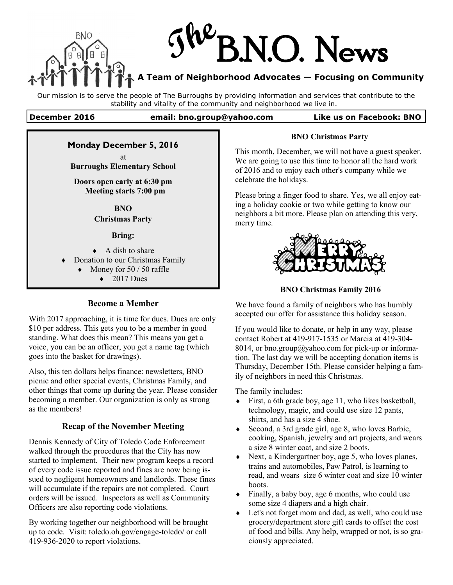

Our mission is to serve the people of The Burroughs by providing information and services that contribute to the stability and vitality of the community and neighborhood we live in.

#### **December 2016 email: bno.group@yahoo.com Like us on Facebook: BNO**

## **Monday December 5, 2016**

at **Burroughs Elementary School** 

## **Doors open early at 6:30 pm Meeting starts 7:00 pm**

**BNO**

# **Christmas Party**

### **Bring:**

 $\triangle$  A dish to share

- Donation to our Christmas Family
	- Money for 50 / 50 raffle
		- $\triangleleft$  2017 Dues

## **Become a Member**

With 2017 approaching, it is time for dues. Dues are only \$10 per address. This gets you to be a member in good standing. What does this mean? This means you get a voice, you can be an officer, you get a name tag (which goes into the basket for drawings).

Also, this ten dollars helps finance: newsletters, BNO picnic and other special events, Christmas Family, and other things that come up during the year. Please consider becoming a member. Our organization is only as strong as the members!

# **Recap of the November Meeting**

Dennis Kennedy of City of Toledo Code Enforcement walked through the procedures that the City has now started to implement. Their new program keeps a record of every code issue reported and fines are now being issued to negligent homeowners and landlords. These fines will accumulate if the repairs are not completed. Court orders will be issued. Inspectors as well as Community Officers are also reporting code violations.

By working together our neighborhood will be brought up to code. Visit: toledo.oh.gov/engage-toledo/ or call 419-936-2020 to report violations.

### **BNO Christmas Party**

This month, December, we will not have a guest speaker. We are going to use this time to honor all the hard work of 2016 and to enjoy each other's company while we celebrate the holidays.

Please bring a finger food to share. Yes, we all enjoy eating a holiday cookie or two while getting to know our neighbors a bit more. Please plan on attending this very, merry time.



**BNO Christmas Family 2016**

We have found a family of neighbors who has humbly accepted our offer for assistance this holiday season.

If you would like to donate, or help in any way, please contact Robert at 419-917-1535 or Marcia at 419-304- 8014, or bno.group@yahoo.com for pick-up or information. The last day we will be accepting donation items is Thursday, December 15th. Please consider helping a family of neighbors in need this Christmas.

The family includes:

- First, a 6th grade boy, age 11, who likes basketball, technology, magic, and could use size 12 pants, shirts, and has a size 4 shoe.
- Second, a 3rd grade girl, age 8, who loves Barbie, cooking, Spanish, jewelry and art projects, and wears a size 8 winter coat, and size 2 boots.
- Next, a Kindergartner boy, age 5, who loves planes, trains and automobiles, Paw Patrol, is learning to read, and wears size 6 winter coat and size 10 winter boots.
- $\bullet$  Finally, a baby boy, age 6 months, who could use some size 4 diapers and a high chair.
- Let's not forget mom and dad, as well, who could use grocery/department store gift cards to offset the cost of food and bills. Any help, wrapped or not, is so graciously appreciated.